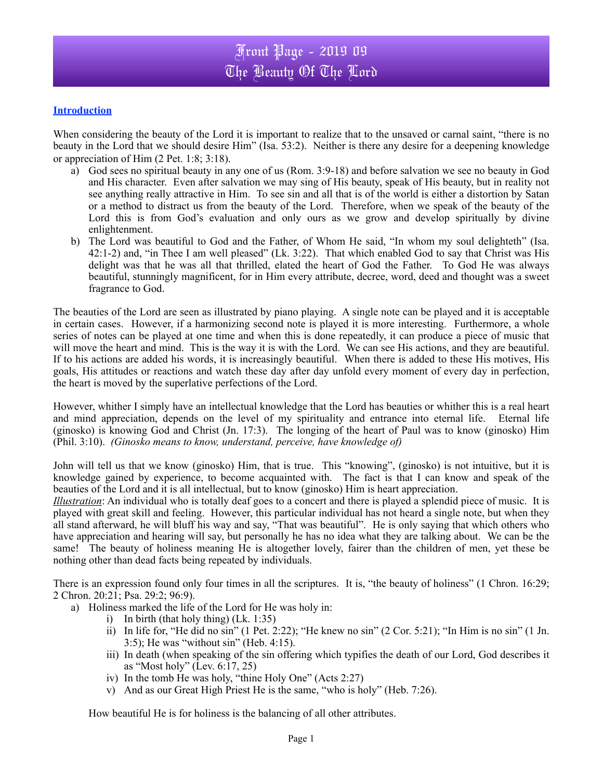## **Introduction**

When considering the beauty of the Lord it is important to realize that to the unsaved or carnal saint, "there is no beauty in the Lord that we should desire Him" (Isa. 53:2). Neither is there any desire for a deepening knowledge or appreciation of Him (2 Pet. 1:8; 3:18).

- a) God sees no spiritual beauty in any one of us (Rom. 3:9-18) and before salvation we see no beauty in God and His character. Even after salvation we may sing of His beauty, speak of His beauty, but in reality not see anything really attractive in Him. To see sin and all that is of the world is either a distortion by Satan or a method to distract us from the beauty of the Lord. Therefore, when we speak of the beauty of the Lord this is from God's evaluation and only ours as we grow and develop spiritually by divine enlightenment.
- b) The Lord was beautiful to God and the Father, of Whom He said, "In whom my soul delighteth" (Isa. 42:1-2) and, "in Thee I am well pleased" (Lk. 3:22). That which enabled God to say that Christ was His delight was that he was all that thrilled, elated the heart of God the Father. To God He was always beautiful, stunningly magnificent, for in Him every attribute, decree, word, deed and thought was a sweet fragrance to God.

The beauties of the Lord are seen as illustrated by piano playing. A single note can be played and it is acceptable in certain cases. However, if a harmonizing second note is played it is more interesting. Furthermore, a whole series of notes can be played at one time and when this is done repeatedly, it can produce a piece of music that will move the heart and mind. This is the way it is with the Lord. We can see His actions, and they are beautiful. If to his actions are added his words, it is increasingly beautiful. When there is added to these His motives, His goals, His attitudes or reactions and watch these day after day unfold every moment of every day in perfection, the heart is moved by the superlative perfections of the Lord.

However, whither I simply have an intellectual knowledge that the Lord has beauties or whither this is a real heart and mind appreciation, depends on the level of my spirituality and entrance into eternal life. Eternal life (ginosko) is knowing God and Christ (Jn. 17:3). The longing of the heart of Paul was to know (ginosko) Him (Phil. 3:10). *(Ginosko means to know, understand, perceive, have knowledge of)*

John will tell us that we know (ginosko) Him, that is true. This "knowing", (ginosko) is not intuitive, but it is knowledge gained by experience, to become acquainted with. The fact is that I can know and speak of the beauties of the Lord and it is all intellectual, but to know (ginosko) Him is heart appreciation.

*Illustration*: An individual who is totally deaf goes to a concert and there is played a splendid piece of music. It is played with great skill and feeling. However, this particular individual has not heard a single note, but when they all stand afterward, he will bluff his way and say, "That was beautiful". He is only saying that which others who have appreciation and hearing will say, but personally he has no idea what they are talking about. We can be the same! The beauty of holiness meaning He is altogether lovely, fairer than the children of men, yet these be nothing other than dead facts being repeated by individuals.

There is an expression found only four times in all the scriptures. It is, "the beauty of holiness" (1 Chron. 16:29; 2 Chron. 20:21; Psa. 29:2; 96:9).

- a) Holiness marked the life of the Lord for He was holy in:
	- i) In birth (that holy thing) (Lk. 1:35)
	- ii) In life for, "He did no sin" (1 Pet. 2:22); "He knew no sin" (2 Cor. 5:21); "In Him is no sin" (1 Jn. 3:5); He was "without sin" (Heb. 4:15).
	- iii) In death (when speaking of the sin offering which typifies the death of our Lord, God describes it as "Most holy" (Lev. 6:17, 25)
	- iv) In the tomb He was holy, "thine Holy One" (Acts 2:27)
	- v) And as our Great High Priest He is the same, "who is holy" (Heb. 7:26).

How beautiful He is for holiness is the balancing of all other attributes.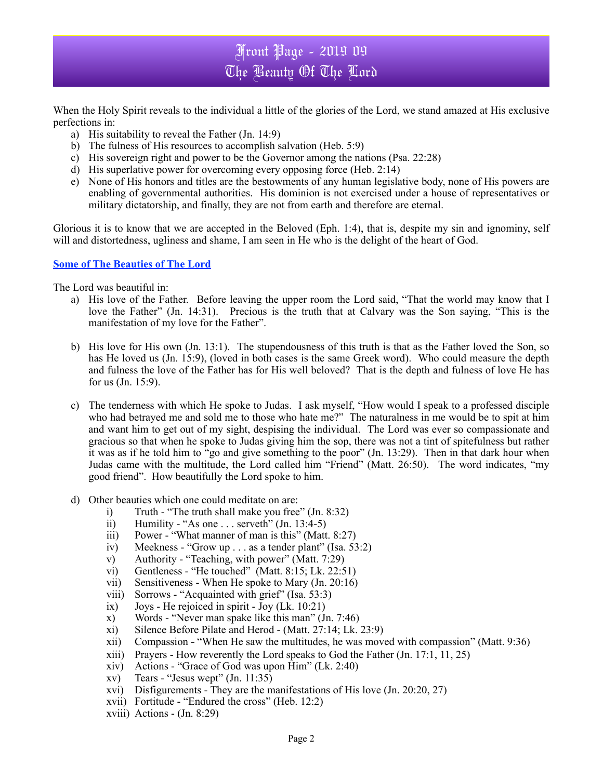## Front Page - 2019 09 The Beauty Of The Lord

When the Holy Spirit reveals to the individual a little of the glories of the Lord, we stand amazed at His exclusive perfections in:

- a) His suitability to reveal the Father (Jn. 14:9)
- b) The fulness of His resources to accomplish salvation (Heb. 5:9)
- c) His sovereign right and power to be the Governor among the nations (Psa. 22:28)
- d) His superlative power for overcoming every opposing force (Heb. 2:14)
- e) None of His honors and titles are the bestowments of any human legislative body, none of His powers are enabling of governmental authorities. His dominion is not exercised under a house of representatives or military dictatorship, and finally, they are not from earth and therefore are eternal.

Glorious it is to know that we are accepted in the Beloved (Eph. 1:4), that is, despite my sin and ignominy, self will and distortedness, ugliness and shame, I am seen in He who is the delight of the heart of God.

## **Some of The Beauties of The Lord**

The Lord was beautiful in:

- a) His love of the Father. Before leaving the upper room the Lord said, "That the world may know that I love the Father" (Jn. 14:31). Precious is the truth that at Calvary was the Son saying, "This is the manifestation of my love for the Father".
- b) His love for His own (Jn. 13:1). The stupendousness of this truth is that as the Father loved the Son, so has He loved us (Jn. 15:9), (loved in both cases is the same Greek word). Who could measure the depth and fulness the love of the Father has for His well beloved? That is the depth and fulness of love He has for us (Jn. 15:9).
- c) The tenderness with which He spoke to Judas. I ask myself, "How would I speak to a professed disciple who had betrayed me and sold me to those who hate me?" The naturalness in me would be to spit at him and want him to get out of my sight, despising the individual. The Lord was ever so compassionate and gracious so that when he spoke to Judas giving him the sop, there was not a tint of spitefulness but rather it was as if he told him to "go and give something to the poor" (Jn. 13:29). Then in that dark hour when Judas came with the multitude, the Lord called him "Friend" (Matt. 26:50). The word indicates, "my good friend". How beautifully the Lord spoke to him.
- d) Other beauties which one could meditate on are:
	- i) Truth "The truth shall make you free" (Jn. 8:32)
	- ii) Humility "As one  $\dots$  serveth" (Jn. 13:4-5)
	- iii) Power "What manner of man is this" (Matt. 8:27)
	- iv) Meekness "Grow up . . . as a tender plant" (Isa. 53:2)
	- v) Authority "Teaching, with power" (Matt. 7:29)
	- vi) Gentleness "He touched" (Matt. 8:15; Lk. 22:51)
	- vii) Sensitiveness When He spoke to Mary (Jn. 20:16)
	- viii) Sorrows "Acquainted with grief" (Isa. 53:3)
	- $ix)$  Joys He rejoiced in spirit Joy (Lk. 10:21)
	- x) Words "Never man spake like this man" (Jn. 7:46)
	- xi) Silence Before Pilate and Herod (Matt. 27:14; Lk. 23:9)
	- xii) Compassion "When He saw the multitudes, he was moved with compassion" (Matt. 9:36)
	- xiii) Prayers How reverently the Lord speaks to God the Father (Jn. 17:1, 11, 25)
	- xiv) Actions "Grace of God was upon Him" (Lk. 2:40)
	- $xy$  Tears "Jesus wept" (Jn. 11:35)
	- xvi) Disfigurements They are the manifestations of His love (Jn. 20:20, 27)
	- xvii) Fortitude "Endured the cross" (Heb. 12:2)
	- xviii) Actions (Jn. 8:29)